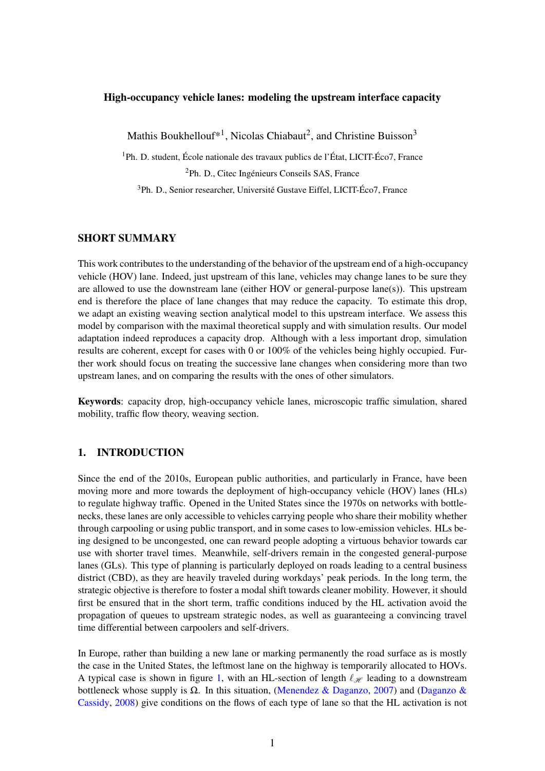### High-occupancy vehicle lanes: modeling the upstream interface capacity

Mathis Boukhellouf\*<sup>1</sup>, Nicolas Chiabaut<sup>2</sup>, and Christine Buisson<sup>3</sup>

<sup>1</sup>Ph. D. student, École nationale des travaux publics de l'État, LICIT-Éco7, France

<sup>2</sup>Ph. D., Citec Ingénieurs Conseils SAS, France

<sup>3</sup>Ph. D., Senior researcher, Université Gustave Eiffel, LICIT-Éco7, France

## SHORT SUMMARY

This work contributes to the understanding of the behavior of the upstream end of a high-occupancy vehicle (HOV) lane. Indeed, just upstream of this lane, vehicles may change lanes to be sure they are allowed to use the downstream lane (either HOV or general-purpose lane(s)). This upstream end is therefore the place of lane changes that may reduce the capacity. To estimate this drop, we adapt an existing weaving section analytical model to this upstream interface. We assess this model by comparison with the maximal theoretical supply and with simulation results. Our model adaptation indeed reproduces a capacity drop. Although with a less important drop, simulation results are coherent, except for cases with 0 or 100% of the vehicles being highly occupied. Further work should focus on treating the successive lane changes when considering more than two upstream lanes, and on comparing the results with the ones of other simulators.

Keywords: capacity drop, high-occupancy vehicle lanes, microscopic traffic simulation, shared mobility, traffic flow theory, weaving section.

# 1. INTRODUCTION

Since the end of the 2010s, European public authorities, and particularly in France, have been moving more and more towards the deployment of high-occupancy vehicle (HOV) lanes (HLs) to regulate highway traffic. Opened in the United States since the 1970s on networks with bottlenecks, these lanes are only accessible to vehicles carrying people who share their mobility whether through carpooling or using public transport, and in some cases to low-emission vehicles. HLs being designed to be uncongested, one can reward people adopting a virtuous behavior towards car use with shorter travel times. Meanwhile, self-drivers remain in the congested general-purpose lanes (GLs). This type of planning is particularly deployed on roads leading to a central business district (CBD), as they are heavily traveled during workdays' peak periods. In the long term, the strategic objective is therefore to foster a modal shift towards cleaner mobility. However, it should first be ensured that in the short term, traffic conditions induced by the HL activation avoid the propagation of queues to upstream strategic nodes, as well as guaranteeing a convincing travel time differential between carpoolers and self-drivers.

In Europe, rather than building a new lane or marking permanently the road surface as is mostly the case in the United States, the leftmost lane on the highway is temporarily allocated to HOVs. A typical case is shown in figure [1,](#page-1-0) with an HL-section of length  $\ell_{\mathcal{H}}$  leading to a downstream bottleneck whose supply is  $\Omega$ . In this situation, [\(Menendez & Daganzo,](#page-6-0) [2007\)](#page-6-0) and [\(Daganzo &](#page-6-1) [Cassidy,](#page-6-1) [2008\)](#page-6-1) give conditions on the flows of each type of lane so that the HL activation is not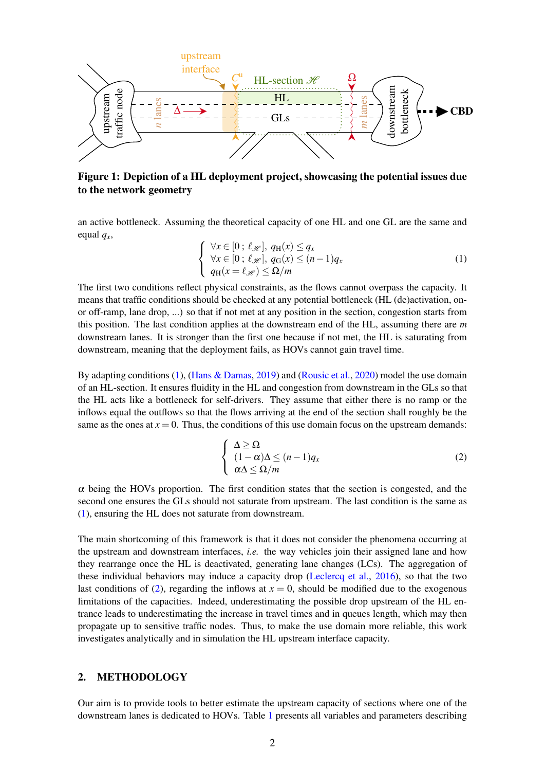<span id="page-1-0"></span>

Figure 1: Depiction of a HL deployment project, showcasing the potential issues due to the network geometry

an active bottleneck. Assuming the theoretical capacity of one HL and one GL are the same and equal *<sup>q</sup>x*,

<span id="page-1-1"></span>
$$
\begin{cases} \forall x \in [0; \ell_{\mathscr{H}}], q_H(x) \le q_x \\ \forall x \in [0; \ell_{\mathscr{H}}], q_G(x) \le (n-1)q_x \\ q_H(x = \ell_{\mathscr{H}}) \le \Omega/m \end{cases} \tag{1}
$$

The first two conditions reflect physical constraints, as the flows cannot overpass the capacity. It means that traffic conditions should be checked at any potential bottleneck (HL (de)activation, onor off-ramp, lane drop, ...) so that if not met at any position in the section, congestion starts from this position. The last condition applies at the downstream end of the HL, assuming there are *m* downstream lanes. It is stronger than the first one because if not met, the HL is saturating from downstream, meaning that the deployment fails, as HOVs cannot gain travel time.

By adapting conditions [\(1\)](#page-1-1), [\(Hans & Damas,](#page-6-2) [2019\)](#page-6-2) and [\(Rousic et al.,](#page-6-3) [2020\)](#page-6-3) model the use domain of an HL-section. It ensures fluidity in the HL and congestion from downstream in the GLs so that the HL acts like a bottleneck for self-drivers. They assume that either there is no ramp or the inflows equal the outflows so that the flows arriving at the end of the section shall roughly be the same as the ones at  $x = 0$ . Thus, the conditions of this use domain focus on the upstream demands:

<span id="page-1-2"></span>
$$
\begin{cases} \Delta \geq \Omega \\ (1 - \alpha)\Delta \leq (n - 1)q_x \\ \alpha \Delta \leq \Omega/m \end{cases}
$$
 (2)

 $\alpha$  being the HOVs proportion. The first condition states that the section is congested, and the second one ensures the GLs should not saturate from upstream. The last condition is the same as [\(1\)](#page-1-1), ensuring the HL does not saturate from downstream.

The main shortcoming of this framework is that it does not consider the phenomena occurring at the upstream and downstream interfaces, *i.e.* the way vehicles join their assigned lane and how they rearrange once the HL is deactivated, generating lane changes (LCs). The aggregation of these individual behaviors may induce a capacity drop [\(Leclercq et al.,](#page-6-4) [2016\)](#page-6-4), so that the two last conditions of [\(2\)](#page-1-2), regarding the inflows at  $x = 0$ , should be modified due to the exogenous limitations of the capacities. Indeed, underestimating the possible drop upstream of the HL entrance leads to underestimating the increase in travel times and in queues length, which may then propagate up to sensitive traffic nodes. Thus, to make the use domain more reliable, this work investigates analytically and in simulation the HL upstream interface capacity.

# 2. METHODOLOGY

Our aim is to provide tools to better estimate the upstream capacity of sections where one of the downstream lanes is dedicated to HOVs. Table [1](#page-2-0) presents all variables and parameters describing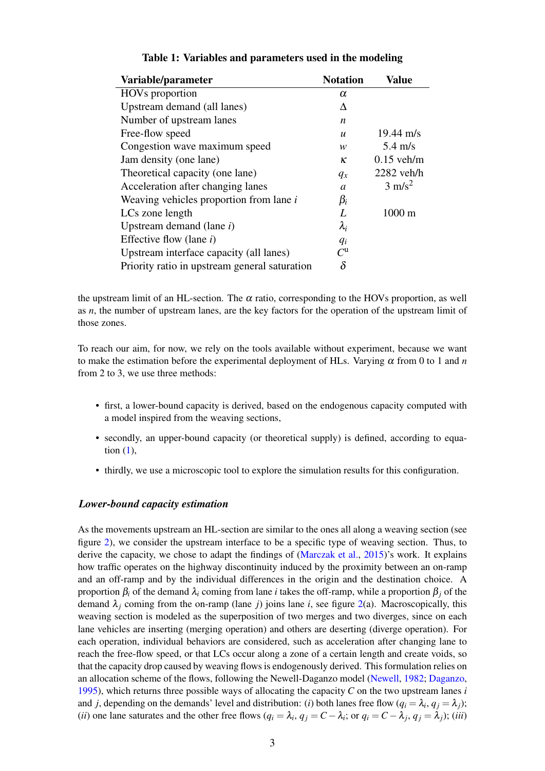<span id="page-2-0"></span>

| Variable/parameter                            | <b>Notation</b>  | Value               |
|-----------------------------------------------|------------------|---------------------|
| HOV <sub>s</sub> proportion                   | $\alpha$         |                     |
| Upstream demand (all lanes)                   | Δ                |                     |
| Number of upstream lanes                      | n                |                     |
| Free-flow speed                               | $\boldsymbol{u}$ | $19.44 \text{ m/s}$ |
| Congestion wave maximum speed                 | w                | $5.4 \text{ m/s}$   |
| Jam density (one lane)                        | ĸ                | $0.15$ veh/m        |
| Theoretical capacity (one lane)               | $q_x$            | $2282$ veh/h        |
| Acceleration after changing lanes             | a                | $3 \text{ m/s}^2$   |
| Weaving vehicles proportion from lane i       | $\beta_i$        |                     |
| LCs zone length                               | L                | $1000 \text{ m}$    |
| Upstream demand (lane $i$ )                   | $\lambda_i$      |                     |
| Effective flow (lane $i$ )                    | $q_i$            |                     |
| Upstream interface capacity (all lanes)       | $C^{\mathrm{u}}$ |                     |
| Priority ratio in upstream general saturation | $\delta$         |                     |

### Table 1: Variables and parameters used in the modeling

the upstream limit of an HL-section. The  $\alpha$  ratio, corresponding to the HOVs proportion, as well as *n*, the number of upstream lanes, are the key factors for the operation of the upstream limit of those zones.

To reach our aim, for now, we rely on the tools available without experiment, because we want to make the estimation before the experimental deployment of HLs. Varying  $\alpha$  from 0 to 1 and *n* from 2 to 3, we use three methods:

- first, a lower-bound capacity is derived, based on the endogenous capacity computed with a model inspired from the weaving sections,
- secondly, an upper-bound capacity (or theoretical supply) is defined, according to equation  $(1)$ ,
- thirdly, we use a microscopic tool to explore the simulation results for this configuration.

#### *Lower-bound capacity estimation*

As the movements upstream an HL-section are similar to the ones all along a weaving section (see figure [2\)](#page-3-0), we consider the upstream interface to be a specific type of weaving section. Thus, to derive the capacity, we chose to adapt the findings of [\(Marczak et al.,](#page-6-5) [2015\)](#page-6-5)'s work. It explains how traffic operates on the highway discontinuity induced by the proximity between an on-ramp and an off-ramp and by the individual differences in the origin and the destination choice. A proportion β*<sup>i</sup>* of the demand λ*<sup>i</sup>* coming from lane *i* takes the off-ramp, while a proportion β*<sup>j</sup>* of the demand  $\lambda_j$  coming from the on-ramp (lane *j*) joins lane *i*, see figure [2\(](#page-3-0)a). Macroscopically, this weaving section is modeled as the superposition of two merges and two diverges, since on each lane vehicles are inserting (merging operation) and others are deserting (diverge operation). For each operation, individual behaviors are considered, such as acceleration after changing lane to reach the free-flow speed, or that LCs occur along a zone of a certain length and create voids, so that the capacity drop caused by weaving flows is endogenously derived. This formulation relies on an allocation scheme of the flows, following the Newell-Daganzo model [\(Newell,](#page-6-6) [1982;](#page-6-6) [Daganzo,](#page-6-7) [1995\)](#page-6-7), which returns three possible ways of allocating the capacity *C* on the two upstream lanes *i* and *j*, depending on the demands' level and distribution: (*i*) both lanes free flow ( $q_i = \lambda_i$ ,  $q_j = \lambda_j$ ); (*ii*) one lane saturates and the other free flows  $(q_i = \lambda_i, q_j = C - \lambda_i;$  or  $q_i = C - \lambda_j, q_j = \lambda_j$ ); (*iii*)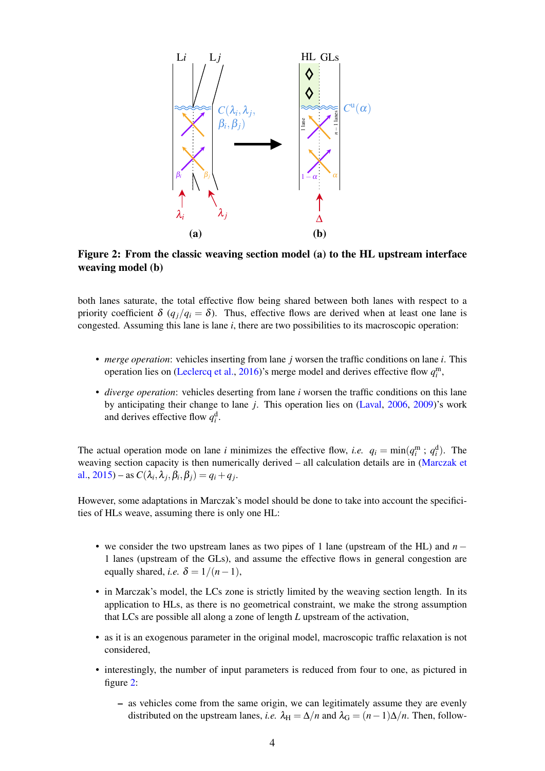<span id="page-3-0"></span>

Figure 2: From the classic weaving section model (a) to the HL upstream interface weaving model (b)

both lanes saturate, the total effective flow being shared between both lanes with respect to a priority coefficient  $\delta$  ( $q_j/q_i = \delta$ ). Thus, effective flows are derived when at least one lane is congested. Assuming this lane is lane *i*, there are two possibilities to its macroscopic operation:

- *merge operation*: vehicles inserting from lane *j* worsen the traffic conditions on lane *i*. This operation lies on [\(Leclercq et al.,](#page-6-4) [2016\)](#page-6-4)'s merge model and derives effective flow  $q_i^{\text{m}}$ ,
- *diverge operation*: vehicles deserting from lane *i* worsen the traffic conditions on this lane by anticipating their change to lane *j*. This operation lies on [\(Laval,](#page-6-8) [2006,](#page-6-8) [2009\)](#page-6-9)'s work and derives effective flow  $q_i^d$ .

The actual operation mode on lane *i* minimizes the effective flow, *i.e.*  $q_i = \min(q_i^m; q_i^d)$ . The weaving section capacity is then numerically derived – all calculation details are in [\(Marczak et](#page-6-5) [al.,](#page-6-5) [2015\)](#page-6-5) – as  $C(\lambda_i, \lambda_j, \beta_i, \beta_j) = q_i + q_j$ .

However, some adaptations in Marczak's model should be done to take into account the specificities of HLs weave, assuming there is only one HL:

- we consider the two upstream lanes as two pipes of 1 lane (upstream of the HL) and *n* − 1 lanes (upstream of the GLs), and assume the effective flows in general congestion are equally shared, *i.e.*  $\delta = 1/(n-1)$ ,
- in Marczak's model, the LCs zone is strictly limited by the weaving section length. In its application to HLs, as there is no geometrical constraint, we make the strong assumption that LCs are possible all along a zone of length *L* upstream of the activation,
- as it is an exogenous parameter in the original model, macroscopic traffic relaxation is not considered,
- interestingly, the number of input parameters is reduced from four to one, as pictured in figure [2:](#page-3-0)
	- as vehicles come from the same origin, we can legitimately assume they are evenly distributed on the upstream lanes, *i.e.*  $\lambda_H = \Delta/n$  and  $\lambda_G = (n-1)\Delta/n$ . Then, follow-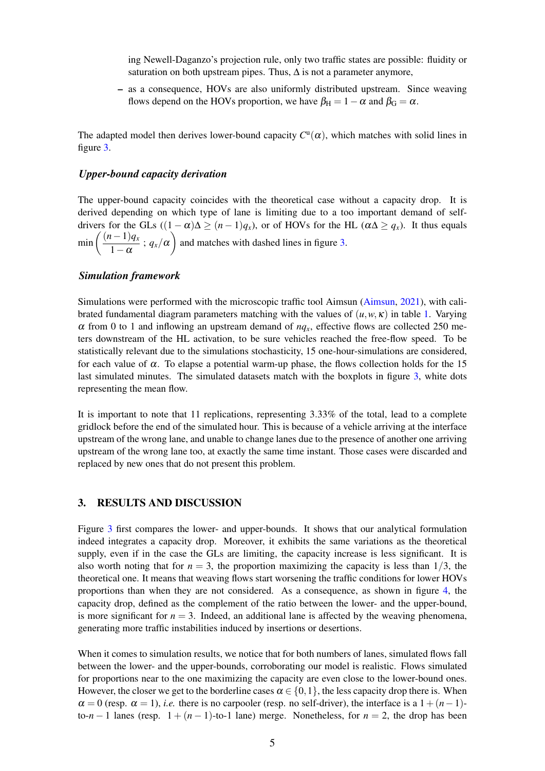ing Newell-Daganzo's projection rule, only two traffic states are possible: fluidity or saturation on both upstream pipes. Thus,  $\Delta$  is not a parameter anymore,

– as a consequence, HOVs are also uniformly distributed upstream. Since weaving flows depend on the HOVs proportion, we have  $\beta_H = 1 - \alpha$  and  $\beta_G = \alpha$ .

The adapted model then derives lower-bound capacity  $C^{\mathsf{u}}(\alpha)$ , which matches with solid lines in figure [3.](#page-5-0)

### *Upper-bound capacity derivation*

The upper-bound capacity coincides with the theoretical case without a capacity drop. It is derived depending on which type of lane is limiting due to a too important demand of selfdrivers for the GLs  $((1 - \alpha)\Delta \ge (n - 1)q_x)$ , or of HOVs for the HL  $(\alpha\Delta \ge q_x)$ . It thus equals  $\min\left(\frac{(n-1)q_x}{1-z}\right)$  $\frac{(n-1)q_x}{1-\alpha}$ ;  $q_x/\alpha$  and matches with dashed lines in figure [3.](#page-5-0)

#### *Simulation framework*

Simulations were performed with the microscopic traffic tool Aimsun [\(Aimsun,](#page-6-10) [2021\)](#page-6-10), with calibrated fundamental diagram parameters matching with the values of  $(u, w, \kappa)$  in table [1.](#page-2-0) Varying  $\alpha$  from 0 to 1 and inflowing an upstream demand of  $nq<sub>x</sub>$ , effective flows are collected 250 meters downstream of the HL activation, to be sure vehicles reached the free-flow speed. To be statistically relevant due to the simulations stochasticity, 15 one-hour-simulations are considered, for each value of  $\alpha$ . To elapse a potential warm-up phase, the flows collection holds for the 15 last simulated minutes. The simulated datasets match with the boxplots in figure [3,](#page-5-0) white dots representing the mean flow.

It is important to note that 11 replications, representing 3.33% of the total, lead to a complete gridlock before the end of the simulated hour. This is because of a vehicle arriving at the interface upstream of the wrong lane, and unable to change lanes due to the presence of another one arriving upstream of the wrong lane too, at exactly the same time instant. Those cases were discarded and replaced by new ones that do not present this problem.

#### 3. RESULTS AND DISCUSSION

Figure [3](#page-5-0) first compares the lower- and upper-bounds. It shows that our analytical formulation indeed integrates a capacity drop. Moreover, it exhibits the same variations as the theoretical supply, even if in the case the GLs are limiting, the capacity increase is less significant. It is also worth noting that for  $n = 3$ , the proportion maximizing the capacity is less than  $1/3$ , the theoretical one. It means that weaving flows start worsening the traffic conditions for lower HOVs proportions than when they are not considered. As a consequence, as shown in figure [4,](#page-5-1) the capacity drop, defined as the complement of the ratio between the lower- and the upper-bound, is more significant for  $n = 3$ . Indeed, an additional lane is affected by the weaving phenomena, generating more traffic instabilities induced by insertions or desertions.

When it comes to simulation results, we notice that for both numbers of lanes, simulated flows fall between the lower- and the upper-bounds, corroborating our model is realistic. Flows simulated for proportions near to the one maximizing the capacity are even close to the lower-bound ones. However, the closer we get to the borderline cases  $\alpha \in \{0,1\}$ , the less capacity drop there is. When  $\alpha = 0$  (resp.  $\alpha = 1$ ), *i.e.* there is no carpooler (resp. no self-driver), the interface is a 1 +  $(n-1)$ to- $n-1$  lanes (resp.  $1 + (n-1)$ -to-1 lane) merge. Nonetheless, for  $n = 2$ , the drop has been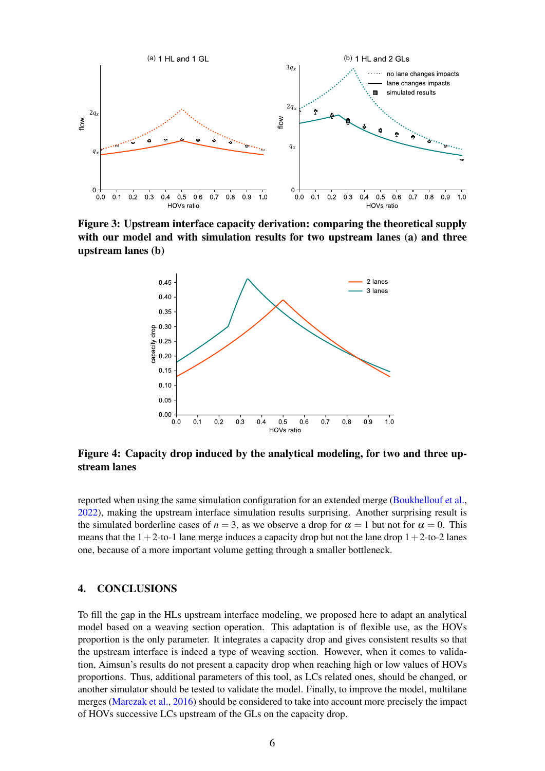<span id="page-5-0"></span>

<span id="page-5-1"></span>with our model and with simulation results for two upstream lanes (a) and three Figure 3: Upstream interface capacity derivation: comparing the theoretical supply upstream lanes (b)



Figure 4: Capacity drop induced by the analytical modeling, for two and three upstream lanes

reported when using the same simulation configuration for an extended merge [\(Boukhellouf et al.,](#page-6-11) [2022\)](#page-6-11), making the upstream interface simulation results surprising. Another surprising result is the simulated borderline cases of  $n = 3$ , as we observe a drop for  $\alpha = 1$  but not for  $\alpha = 0$ . This means that the  $1+2$ -to-1 lane merge induces a capacity drop but not the lane drop  $1+2$ -to-2 lanes one, because of a more important volume getting through a smaller bottleneck.

## 4. CONCLUSIONS

To fill the gap in the HLs upstream interface modeling, we proposed here to adapt an analytical model based on a weaving section operation. This adaptation is of flexible use, as the HOVs proportion is the only parameter. It integrates a capacity drop and gives consistent results so that the upstream interface is indeed a type of weaving section. However, when it comes to validation, Aimsun's results do not present a capacity drop when reaching high or low values of HOVs proportions. Thus, additional parameters of this tool, as LCs related ones, should be changed, or another simulator should be tested to validate the model. Finally, to improve the model, multilane merges [\(Marczak et al.,](#page-6-12) [2016\)](#page-6-12) should be considered to take into account more precisely the impact of HOVs successive LCs upstream of the GLs on the capacity drop.